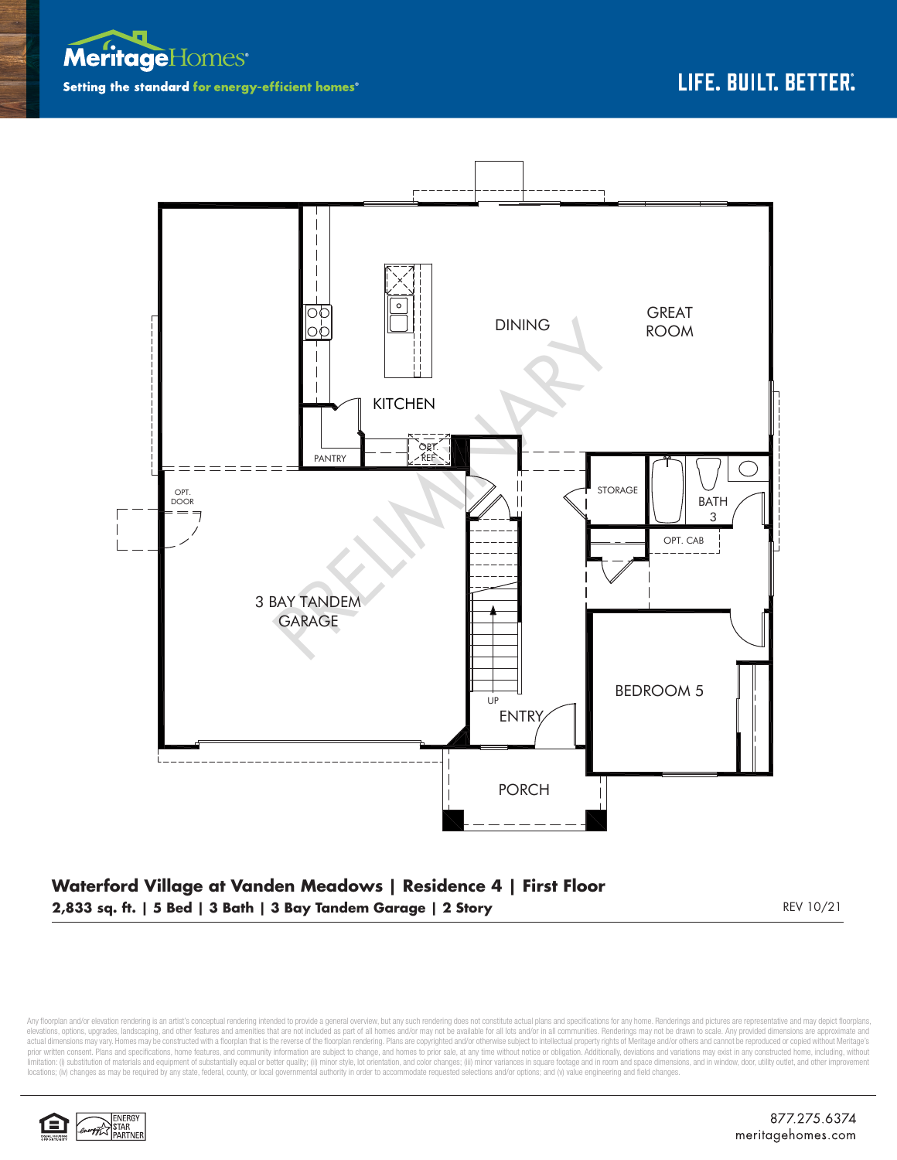



## **Waterford Village at Vanden Meadows | Residence 4 | First Floor 2,833 sq. ft. | 5 Bed | 3 Bath | 3 Bay Tandem Garage | 2 Story** REV 10/21

Any floorplan and/or elevation rendering is an artist's conceptual rendering intended to provide a general overview, but any such rendering does not constitute actual plans and specifications for any home. Renderings and p elevations, options, upgrades, landscaping, and other features and amenities that are not included as part of all homes and/or may not be available for all lots and/or in all communities. Renderings may not be drawn to sca limitation: (i) substitution of materials and equipment of substantially equal or better quality; (ii) minor style, lot orientation, and color changes; (iii) minor variances in square footage and in room and space dimensio locations; (iv) changes as may be required by any state, federal, county, or local governmental authority in order to accommodate requested selections and/or options; and (v) value engineering and field changes.